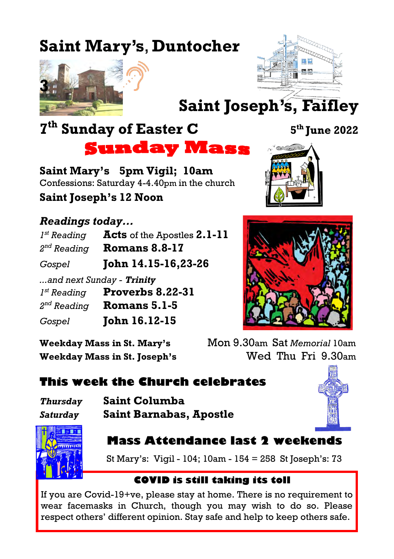### **Saint Mary's**, **Duntocher**





**Saint Joseph's, Faifley**

## **7 th Sunday of Easter C <sup>5</sup>**

**Sunday Mass** 

**Saint Mary's 5pm Vigil; 10am** Confessions: Saturday 4-4.40pm in the church **Saint Joseph's 12 Noon**

#### *Readings today...*

| $I^{st}$ Reading        | Acts of the Apostles 2.1-11                   |
|-------------------------|-----------------------------------------------|
| $2^{nd}$ Reading        | <b>Romans 8.8-17</b>                          |
| Gospel                  | John 14.15-16,23-26                           |
| $I^{st}$ Reading        | and next Sunday - Trinity<br>Proverbs 8.22-31 |
| 2 <sup>nd</sup> Reading | Romans 5.1-5                                  |
| Gospel                  | <b>John 16.12-15</b>                          |





**Weekday Mass in St. Mary's** Mon 9.30am Sat *Memorial* 10am **Weekday Mass in St. Joseph's** Wed Thu Fri 9.30am

#### **This week the Church celebrates**

| Thursday | <b>Saint Co.</b> |
|----------|------------------|
| Saturday | <b>Saint Bai</b> |

*Thursday* **Saint Columba** *Saturday* **Saint Barnabas, Apostle**





#### **Mass Attendance last 2 weekends**

St Mary's: Vigil - 104; 10am - 154 = 258 St Joseph's: 73

#### **COVID is still taking its toll**

If you are Covid-19+ve, please stay at home. There is no requirement to wear facemasks in Church, though you may wish to do so. Please respect others' different opinion. Stay safe and help to keep others safe.

**th June 2022**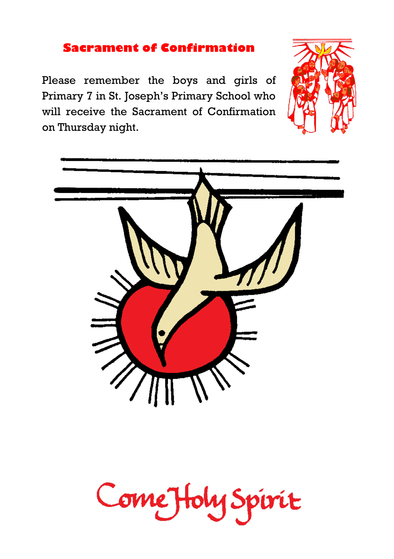#### **Sacrament of Confirmation**

Please remember the boys and girls of Primary 7 in St. Joseph's Primary School who will receive the Sacrament of Confirmation on Thursday night.





# Come Holy Spirit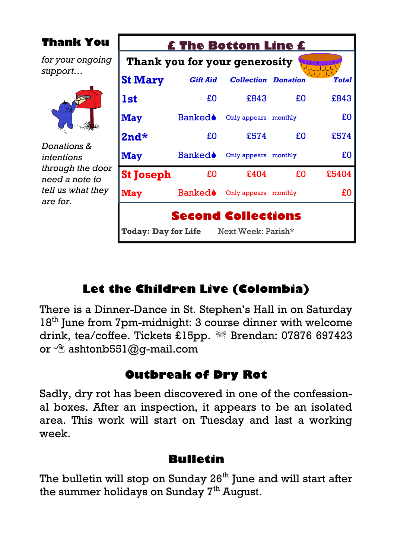| <b>Thank You</b>                                                                                 | <b>£ The Bottom Line £</b>    |                           |                            |    |              |  |  |
|--------------------------------------------------------------------------------------------------|-------------------------------|---------------------------|----------------------------|----|--------------|--|--|
| for your ongoing                                                                                 | Thank you for your generosity |                           |                            |    |              |  |  |
| support                                                                                          | <b>St Mary</b>                | <b>Gift Aid</b>           | <b>Collection Donation</b> |    | <b>Total</b> |  |  |
| Donations &<br>intentions<br>through the door<br>need a note to<br>tell us what they<br>are for. | 1st                           | £O                        | £843                       | £O | £843         |  |  |
|                                                                                                  | <b>May</b>                    | <b>Banked</b>             | Only appears monthly       |    | £0           |  |  |
|                                                                                                  | $2nd*$                        | £O                        | £574                       | £O | £574         |  |  |
|                                                                                                  | <b>May</b>                    | Banked♦                   | Only appears monthly       |    | £O           |  |  |
|                                                                                                  | <b>St Joseph</b>              | £0                        | £404                       | £O | £5404        |  |  |
|                                                                                                  | May                           | <b>Banked</b>             | Only appears monthly       |    | £0           |  |  |
|                                                                                                  | <b>Today: Day for Life</b>    | <b>Second Collections</b> | Next Week: Parish*         |    |              |  |  |

#### **Let the Children Live (Colombia)**

There is a Dinner-Dance in St. Stephen's Hall in on Saturday 18<sup>th</sup> June from 7pm-midnight: 3 course dinner with welcome drink, tea/coffee. Tickets £15pp. <sup>28</sup> Brendan: 07876 697423 or  $\hat{\sigma}$  ashtonb551@q-mail.com

#### **Outbreak of Dry Rot**

Sadly, dry rot has been discovered in one of the confessional boxes. After an inspection, it appears to be an isolated area. This work will start on Tuesday and last a working week.

#### **Bulletin**

The bulletin will stop on Sunday  $26<sup>th</sup>$  June and will start after the summer holidays on Sunday  $7<sup>th</sup>$  August.